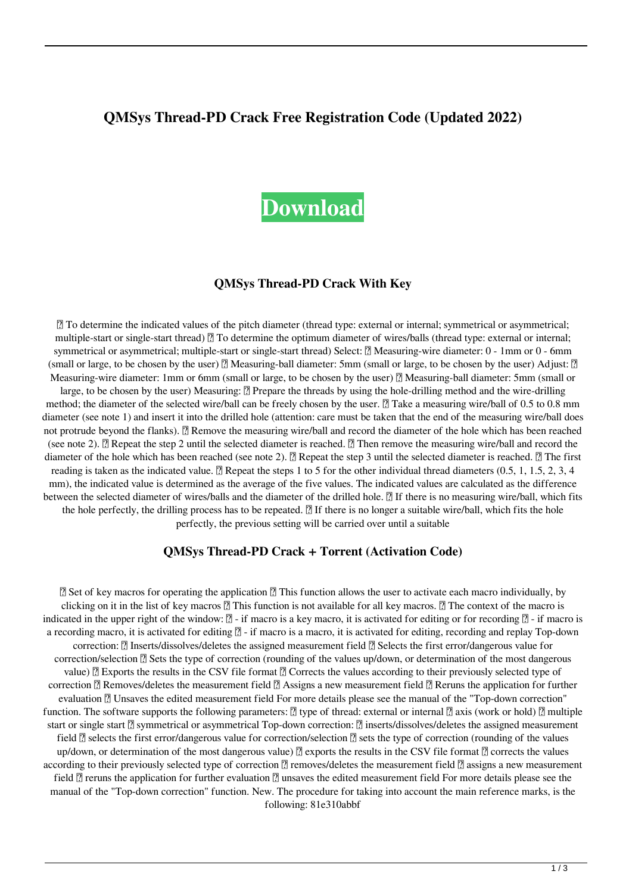# **QMSys Thread-PD Crack Free Registration Code (Updated 2022)**

# **[Download](http://evacdir.com/UU1TeXMgVGhyZWFkLVBEUU1/buffet/conjectural.raffaele/ZG93bmxvYWR8YW84T0dOa2JueDhNVFkxTkRRek5qWTFPSHg4TWpVNU1IeDhLRTBwSUZkdmNtUndjbVZ6Y3lCYldFMU1VbEJESUZZeUlGQkVSbDA/suspension/neechabhaga=thechinaperspective)**

### **QMSys Thread-PD Crack With Key**

■ To determine the indicated values of the pitch diameter (thread type: external or internal; symmetrical or asymmetrical; multiple-start or single-start thread)  $\mathbb{Z}$  To determine the optimum diameter of wires/balls (thread type: external or internal; symmetrical or asymmetrical; multiple-start or single-start thread) Select: **Neasuring-wire diameter: 0 - 1mm or 0 - 6mm** (small or large, to be chosen by the user) 2 Measuring-ball diameter: 5mm (small or large, to be chosen by the user) Adjust: 2 Measuring-wire diameter: 1mm or 6mm (small or large, to be chosen by the user)  $\mathbb{Z}$  Measuring-ball diameter: 5mm (small or large, to be chosen by the user) Measuring:  $\mathbb{Z}$  Prepare the threads by using the hole-drilling method and the wire-drilling method; the diameter of the selected wire/ball can be freely chosen by the user.  $\sqrt{2}$  Take a measuring wire/ball of 0.5 to 0.8 mm diameter (see note 1) and insert it into the drilled hole (attention: care must be taken that the end of the measuring wire/ball does not protrude beyond the flanks).  $\mathbb{Z}$  Remove the measuring wire/ball and record the diameter of the hole which has been reached (see note 2).  $\mathbb{R}$  Repeat the step 2 until the selected diameter is reached.  $\mathbb{R}$  Then remove the measuring wire/ball and record the diameter of the hole which has been reached (see note 2).  $\mathbb{Z}$  Repeat the step 3 until the selected diameter is reached.  $\mathbb{Z}$  The first reading is taken as the indicated value.  $\mathbb{Z}$  Repeat the steps 1 to 5 for the other individual thread diameters (0.5, 1, 1.5, 2, 3, 4 mm), the indicated value is determined as the average of the five values. The indicated values are calculated as the difference between the selected diameter of wires/balls and the diameter of the drilled hole.  $\mathbb{R}$  If there is no measuring wire/ball, which fits the hole perfectly, the drilling process has to be repeated.  $\mathbb{Z}$  If there is no longer a suitable wire/ball, which fits the hole perfectly, the previous setting will be carried over until a suitable

#### **QMSys Thread-PD Crack + Torrent (Activation Code)**

■ Set of key macros for operating the application ■ This function allows the user to activate each macro individually, by clicking on it in the list of key macros  $\mathbb{Z}$  This function is not available for all key macros.  $\mathbb{Z}$  The context of the macro is indicated in the upper right of the window:  $\mathbb{Z}$  - if macro is a key macro, it is activated for editing or for recording  $\mathbb{Z}$  - if macro is a recording macro, it is activated for editing  $[$ ] - if macro is a macro, it is activated for editing, recording and replay Top-down correction: ■ Inserts/dissolves/deletes the assigned measurement field ■ Selects the first error/dangerous value for correction/selection  $\mathbb{Z}$  Sets the type of correction (rounding of the values up/down, or determination of the most dangerous value)  $\mathbb{Z}$  Exports the results in the CSV file format  $\mathbb{Z}$  Corrects the values according to their previously selected type of correction  $\mathbb{Z}$  Removes/deletes the measurement field  $\mathbb{Z}$  Assigns a new measurement field  $\mathbb{Z}$  Reruns the application for further evaluation <sup>n</sup> Unsaves the edited measurement field For more details please see the manual of the "Top-down correction" function. The software supports the following parameters:  $\mathbb{Z}$  type of thread: external or internal  $\mathbb{Z}$  axis (work or hold)  $\mathbb{Z}$  multiple start or single start *a* symmetrical or asymmetrical Top-down correction: *a* inserts/dissolves/deletes the assigned measurement field **<u>n</u>** selects the first error/dangerous value for correction/selection **n** sets the type of correction (rounding of the values up/down, or determination of the most dangerous value)  $\mathbb{Z}$  exports the results in the CSV file format  $\mathbb{Z}$  corrects the values according to their previously selected type of correction  $\eta$  removes/deletes the measurement field  $\eta$  assigns a new measurement field  $\mathbb Z$  reruns the application for further evaluation  $\mathbb Z$  unsaves the edited measurement field For more details please see the manual of the "Top-down correction" function. New. The procedure for taking into account the main reference marks, is the following: 81e310abbf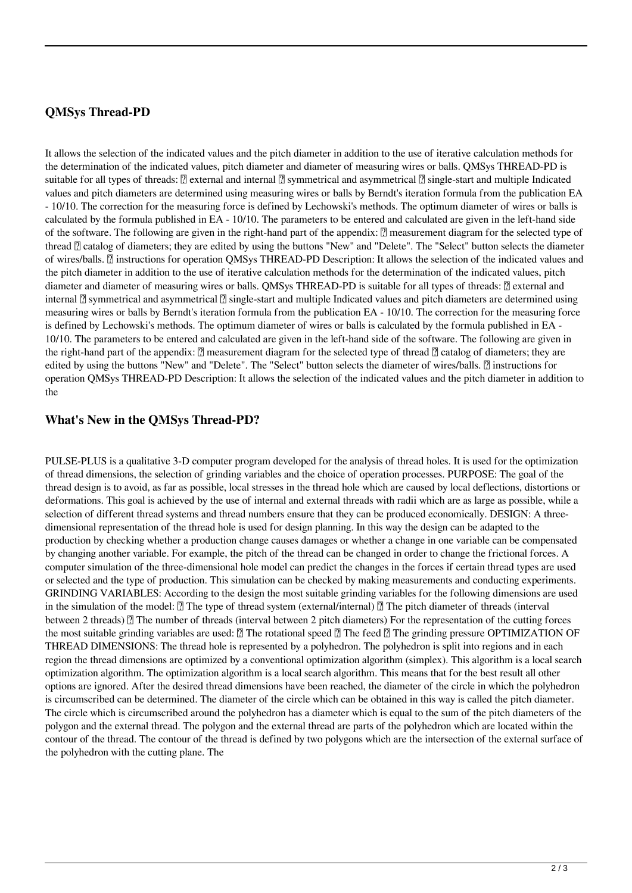# **QMSys Thread-PD**

It allows the selection of the indicated values and the pitch diameter in addition to the use of iterative calculation methods for the determination of the indicated values, pitch diameter and diameter of measuring wires or balls. QMSys THREAD-PD is suitable for all types of threads:  $\mathbb{Z}$  external and internal  $\mathbb{Z}$  symmetrical and asymmetrical  $\mathbb{Z}$  single-start and multiple Indicated values and pitch diameters are determined using measuring wires or balls by Berndt's iteration formula from the publication EA - 10/10. The correction for the measuring force is defined by Lechowski's methods. The optimum diameter of wires or balls is calculated by the formula published in EA - 10/10. The parameters to be entered and calculated are given in the left-hand side of the software. The following are given in the right-hand part of the appendix:  $\mathbb{Z}$  measurement diagram for the selected type of thread  $\mathbb{Z}$  catalog of diameters; they are edited by using the buttons "New" and "Delete". The "Select" button selects the diameter of wires/balls. **[7]** instructions for operation QMSys THREAD-PD Description: It allows the selection of the indicated values and the pitch diameter in addition to the use of iterative calculation methods for the determination of the indicated values, pitch diameter and diameter of measuring wires or balls. QMSys THREAD-PD is suitable for all types of threads:  $[$ ] external and internal  $\mathbb{Z}$  symmetrical and asymmetrical  $\mathbb{Z}$  single-start and multiple Indicated values and pitch diameters are determined using measuring wires or balls by Berndt's iteration formula from the publication EA - 10/10. The correction for the measuring force is defined by Lechowski's methods. The optimum diameter of wires or balls is calculated by the formula published in EA - 10/10. The parameters to be entered and calculated are given in the left-hand side of the software. The following are given in the right-hand part of the appendix:  $\mathbb{Z}$  measurement diagram for the selected type of thread  $\mathbb{Z}$  catalog of diameters; they are edited by using the buttons "New" and "Delete". The "Select" button selects the diameter of wires/balls. **a** instructions for operation QMSys THREAD-PD Description: It allows the selection of the indicated values and the pitch diameter in addition to the

## **What's New in the QMSys Thread-PD?**

PULSE-PLUS is a qualitative 3-D computer program developed for the analysis of thread holes. It is used for the optimization of thread dimensions, the selection of grinding variables and the choice of operation processes. PURPOSE: The goal of the thread design is to avoid, as far as possible, local stresses in the thread hole which are caused by local deflections, distortions or deformations. This goal is achieved by the use of internal and external threads with radii which are as large as possible, while a selection of different thread systems and thread numbers ensure that they can be produced economically. DESIGN: A threedimensional representation of the thread hole is used for design planning. In this way the design can be adapted to the production by checking whether a production change causes damages or whether a change in one variable can be compensated by changing another variable. For example, the pitch of the thread can be changed in order to change the frictional forces. A computer simulation of the three-dimensional hole model can predict the changes in the forces if certain thread types are used or selected and the type of production. This simulation can be checked by making measurements and conducting experiments. GRINDING VARIABLES: According to the design the most suitable grinding variables for the following dimensions are used in the simulation of the model:  $\mathbb{Z}$  The type of thread system (external/internal)  $\mathbb{Z}$  The pitch diameter of threads (interval between 2 threads)  $\mathbb{Z}$  The number of threads (interval between 2 pitch diameters) For the representation of the cutting forces the most suitable grinding variables are used:  $\mathbb{Z}$  The rotational speed  $\mathbb{Z}$  The feed  $\mathbb{Z}$  The grinding pressure OPTIMIZATION OF THREAD DIMENSIONS: The thread hole is represented by a polyhedron. The polyhedron is split into regions and in each region the thread dimensions are optimized by a conventional optimization algorithm (simplex). This algorithm is a local search optimization algorithm. The optimization algorithm is a local search algorithm. This means that for the best result all other options are ignored. After the desired thread dimensions have been reached, the diameter of the circle in which the polyhedron is circumscribed can be determined. The diameter of the circle which can be obtained in this way is called the pitch diameter. The circle which is circumscribed around the polyhedron has a diameter which is equal to the sum of the pitch diameters of the polygon and the external thread. The polygon and the external thread are parts of the polyhedron which are located within the contour of the thread. The contour of the thread is defined by two polygons which are the intersection of the external surface of the polyhedron with the cutting plane. The